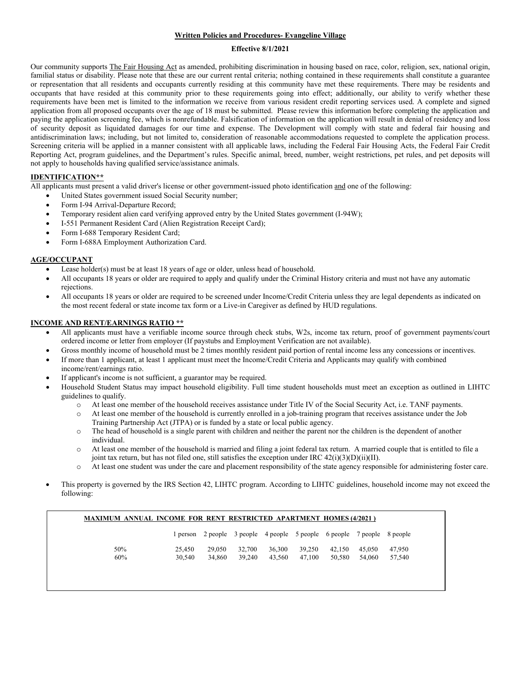## **Written Policies and Procedures- Evangeline Village**

### **Effective 8/1/2021**

Our community supports The Fair Housing Act as amended, prohibiting discrimination in housing based on race, color, religion, sex, national origin, familial status or disability. Please note that these are our current rental criteria; nothing contained in these requirements shall constitute a guarantee or representation that all residents and occupants currently residing at this community have met these requirements. There may be residents and occupants that have resided at this community prior to these requirements going into effect; additionally, our ability to verify whether these requirements have been met is limited to the information we receive from various resident credit reporting services used. A complete and signed application from all proposed occupants over the age of 18 must be submitted. Please review this information before completing the application and paying the application screening fee, which is nonrefundable. Falsification of information on the application will result in denial of residency and loss of security deposit as liquidated damages for our time and expense. The Development will comply with state and federal fair housing and antidiscrimination laws; including, but not limited to, consideration of reasonable accommodations requested to complete the application process. Screening criteria will be applied in a manner consistent with all applicable laws, including the Federal Fair Housing Acts, the Federal Fair Credit Reporting Act, program guidelines, and the Department's rules. Specific animal, breed, number, weight restrictions, pet rules, and pet deposits will not apply to households having qualified service/assistance animals.

# **IDENTIFICATION\*\***

All applicants must present a valid driver's license or other government-issued photo identification and one of the following:

- United States government issued Social Security number;
- Form I-94 Arrival-Departure Record;
- Temporary resident alien card verifying approved entry by the United States government (I-94W);
- I-551 Permanent Resident Card (Alien Registration Receipt Card);
- Form I-688 Temporary Resident Card;
- Form I-688A Employment Authorization Card.

### **AGE/OCCUPANT**

- Lease holder(s) must be at least 18 years of age or older, unless head of household.
- All occupants 18 years or older are required to apply and qualify under the Criminal History criteria and must not have any automatic rejections.
- All occupants 18 years or older are required to be screened under Income/Credit Criteria unless they are legal dependents as indicated on the most recent federal or state income tax form or a Live-in Caregiver as defined by HUD regulations.

### **INCOME AND RENT/EARNINGS RATIO \*\***

- All applicants must have a verifiable income source through check stubs, W2s, income tax return, proof of government payments/court ordered income or letter from employer (If paystubs and Employment Verification are not available).
- Gross monthly income of household must be 2 times monthly resident paid portion of rental income less any concessions or incentives.
- If more than 1 applicant, at least 1 applicant must meet the Income/Credit Criteria and Applicants may qualify with combined income/rent/earnings ratio.
- If applicant's income is not sufficient, a guarantor may be required.
- Household Student Status may impact household eligibility. Full time student households must meet an exception as outlined in LIHTC guidelines to qualify.
	- o At least one member of the household receives assistance under Title IV of the Social Security Act, i.e. TANF payments.
	- o At least one member of the household is currently enrolled in a job-training program that receives assistance under the Job Training Partnership Act (JTPA) or is funded by a state or local public agency.
	- o The head of household is a single parent with children and neither the parent nor the children is the dependent of another individual.
	- o At least one member of the household is married and filing a joint federal tax return. A married couple that is entitled to file a joint tax return, but has not filed one, still satisfies the exception under IRC  $42(i)(3)(D)(ii)(II)$ .
	- o At least one student was under the care and placement responsibility of the state agency responsible for administering foster care.
- This property is governed by the IRS Section 42, LIHTC program. According to LIHTC guidelines, household income may not exceed the following:

|     |        |        |        | 1 person 2 people 3 people 4 people 5 people 6 people 7 people 8 people |        |        |        |        |
|-----|--------|--------|--------|-------------------------------------------------------------------------|--------|--------|--------|--------|
| 50% | 25,450 | 29,050 | 32,700 | 36,300                                                                  | 39,250 | 42,150 | 45,050 | 47,950 |
| 60% | 30,540 | 34,860 | 39,240 | 43.560                                                                  | 47.100 | 50,580 | 54,060 | 57,540 |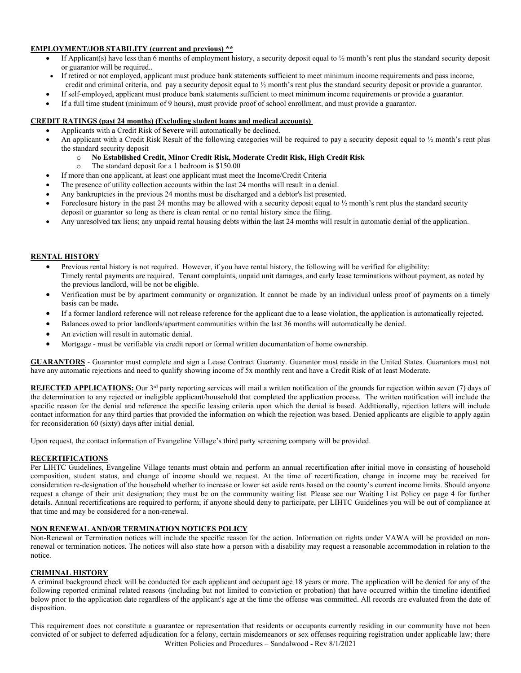## **EMPLOYMENT/JOB STABILITY (current and previous) \*\***

- If Applicant(s) have less than 6 months of employment history, a security deposit equal to  $\frac{1}{2}$  month's rent plus the standard security deposit or guarantor will be required..
- If retired or not employed, applicant must produce bank statements sufficient to meet minimum income requirements and pass income,
- credit and criminal criteria, and pay a security deposit equal to ½ month's rent plus the standard security deposit or provide a guarantor.
- If self-employed, applicant must produce bank statements sufficient to meet minimum income requirements or provide a guarantor.
- If a full time student (minimum of 9 hours), must provide proof of school enrollment, and must provide a guarantor.

# **CREDIT RATINGS (past 24 months) (Excluding student loans and medical accounts)**

- Applicants with a Credit Risk of **Severe** will automatically be declined.
- An applicant with a Credit Risk Result of the following categories will be required to pay a security deposit equal to  $\frac{1}{2}$  month's rent plus the standard security deposit
	- o **No Established Credit, Minor Credit Risk, Moderate Credit Risk, High Credit Risk**
	- The standard deposit for a 1 bedroom is  $$150.00$
- If more than one applicant, at least one applicant must meet the Income/Credit Criteria
- The presence of utility collection accounts within the last 24 months will result in a denial.
- Any bankruptcies in the previous 24 months must be discharged and a debtor's list presented.
- Foreclosure history in the past 24 months may be allowed with a security deposit equal to  $\frac{1}{2}$  month's rent plus the standard security deposit or guarantor so long as there is clean rental or no rental history since the filing.
- Any unresolved tax liens; any unpaid rental housing debts within the last 24 months will result in automatic denial of the application.

# **RENTAL HISTORY**

- Previous rental history is not required. However, if you have rental history, the following will be verified for eligibility: Timely rental payments are required. Tenant complaints, unpaid unit damages, and early lease terminations without payment, as noted by the previous landlord, will be not be eligible.
- Verification must be by apartment community or organization. It cannot be made by an individual unless proof of payments on a timely basis can be made**.**
- If a former landlord reference will not release reference for the applicant due to a lease violation, the application is automatically rejected.
- Balances owed to prior landlords/apartment communities within the last 36 months will automatically be denied.
- An eviction will result in automatic denial.
- Mortgage must be verifiable via credit report or formal written documentation of home ownership.

**GUARANTORS** - Guarantor must complete and sign a Lease Contract Guaranty. Guarantor must reside in the United States. Guarantors must not have any automatic rejections and need to qualify showing income of 5x monthly rent and have a Credit Risk of at least Moderate.

**REJECTED APPLICATIONS:** Our 3<sup>rd</sup> party reporting services will mail a written notification of the grounds for rejection within seven (7) days of the determination to any rejected or ineligible applicant/household that completed the application process. The written notification will include the specific reason for the denial and reference the specific leasing criteria upon which the denial is based. Additionally, rejection letters will include contact information for any third parties that provided the information on which the rejection was based. Denied applicants are eligible to apply again for reconsideration 60 (sixty) days after initial denial.

Upon request, the contact information of Evangeline Village's third party screening company will be provided.

#### **RECERTIFICATIONS**

Per LIHTC Guidelines, Evangeline Village tenants must obtain and perform an annual recertification after initial move in consisting of household composition, student status, and change of income should we request. At the time of recertification, change in income may be received for consideration re-designation of the household whether to increase or lower set aside rents based on the county's current income limits. Should anyone request a change of their unit designation; they must be on the community waiting list. Please see our Waiting List Policy on page 4 for further details. Annual recertifications are required to perform; if anyone should deny to participate, per LIHTC Guidelines you will be out of compliance at that time and may be considered for a non-renewal.

### **NON RENEWAL AND/OR TERMINATION NOTICES POLICY**

Non-Renewal or Termination notices will include the specific reason for the action. Information on rights under VAWA will be provided on nonrenewal or termination notices. The notices will also state how a person with a disability may request a reasonable accommodation in relation to the notice.

#### **CRIMINAL HISTORY**

A criminal background check will be conducted for each applicant and occupant age 18 years or more. The application will be denied for any of the following reported criminal related reasons (including but not limited to conviction or probation) that have occurred within the timeline identified below prior to the application date regardless of the applicant's age at the time the offense was committed. All records are evaluated from the date of disposition.

Written Policies and Procedures – Sandalwood - Rev 8/1/2021 This requirement does not constitute a guarantee or representation that residents or occupants currently residing in our community have not been convicted of or subject to deferred adjudication for a felony, certain misdemeanors or sex offenses requiring registration under applicable law; there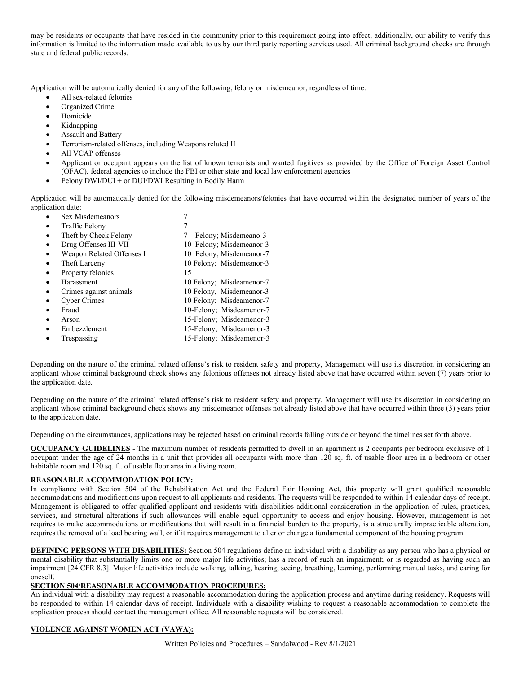may be residents or occupants that have resided in the community prior to this requirement going into effect; additionally, our ability to verify this information is limited to the information made available to us by our third party reporting services used. All criminal background checks are through state and federal public records.

Application will be automatically denied for any of the following, felony or misdemeanor, regardless of time:

- All sex-related felonies
- Organized Crime
- Homicide
- Kidnapping
- Assault and Battery
- Terrorism-related offenses, including Weapons related II
- All VCAP offenses
- Applicant or occupant appears on the list of known terrorists and wanted fugitives as provided by the Office of Foreign Asset Control (OFAC), federal agencies to include the FBI or other state and local law enforcement agencies
- Felony DWI/DUI + or DUI/DWI Resulting in Bodily Harm

Application will be automatically denied for the following misdemeanors/felonies that have occurred within the designated number of years of the application date:

• Sex Misdemeanors 7 Traffic Felony 7 Theft by Check Felony 7 Felony; Misdemeano-3 **Drug Offenses III-VII** 10 Felony; Misdemeanor-3 Weapon Related Offenses I 10 Felony; Misdemeanor-7 Final Larceny 10 Felony; Misdemeanor-3 Property felonies 15 • Harassment 10 Felony; Misdeamenor-7 • Crimes against animals 10 Felony, Misdemeanor-3 • Cyber Crimes 10 Felony; Misdeamenor-7 • Fraud 10-Felony; Misdeamenor-7 • Arson 15-Felony; Misdeamenor-3 • Embezzlement 15-Felony; Misdeamenor-3 Trespassing 15-Felony; Misdeamenor-3

Depending on the nature of the criminal related offense's risk to resident safety and property, Management will use its discretion in considering an applicant whose criminal background check shows any felonious offenses not already listed above that have occurred within seven (7) years prior to the application date.

Depending on the nature of the criminal related offense's risk to resident safety and property, Management will use its discretion in considering an applicant whose criminal background check shows any misdemeanor offenses not already listed above that have occurred within three (3) years prior to the application date.

Depending on the circumstances, applications may be rejected based on criminal records falling outside or beyond the timelines set forth above.

**OCCUPANCY GUIDELINES** - The maximum number of residents permitted to dwell in an apartment is 2 occupants per bedroom exclusive of 1 occupant under the age of 24 months in a unit that provides all occupants with more than 120 sq. ft. of usable floor area in a bedroom or other habitable room and 120 sq. ft. of usable floor area in a living room.

## **REASONABLE ACCOMMODATION POLICY:**

In compliance with Section 504 of the Rehabilitation Act and the Federal Fair Housing Act, this property will grant qualified reasonable accommodations and modifications upon request to all applicants and residents. The requests will be responded to within 14 calendar days of receipt. Management is obligated to offer qualified applicant and residents with disabilities additional consideration in the application of rules, practices, services, and structural alterations if such allowances will enable equal opportunity to access and enjoy housing. However, management is not requires to make accommodations or modifications that will result in a financial burden to the property, is a structurally impracticable alteration, requires the removal of a load bearing wall, or if it requires management to alter or change a fundamental component of the housing program.

**DEFINING PERSONS WITH DISABILITIES:** Section 504 regulations define an individual with a disability as any person who has a physical or mental disability that substantially limits one or more major life activities; has a record of such an impairment; or is regarded as having such an impairment [24 CFR 8.3]. Major life activities include walking, talking, hearing, seeing, breathing, learning, performing manual tasks, and caring for oneself.

## **SECTION 504/REASONABLE ACCOMMODATION PROCEDURES:**

An individual with a disability may request a reasonable accommodation during the application process and anytime during residency. Requests will be responded to within 14 calendar days of receipt. Individuals with a disability wishing to request a reasonable accommodation to complete the application process should contact the management office. All reasonable requests will be considered.

## **VIOLENCE AGAINST WOMEN ACT (VAWA):**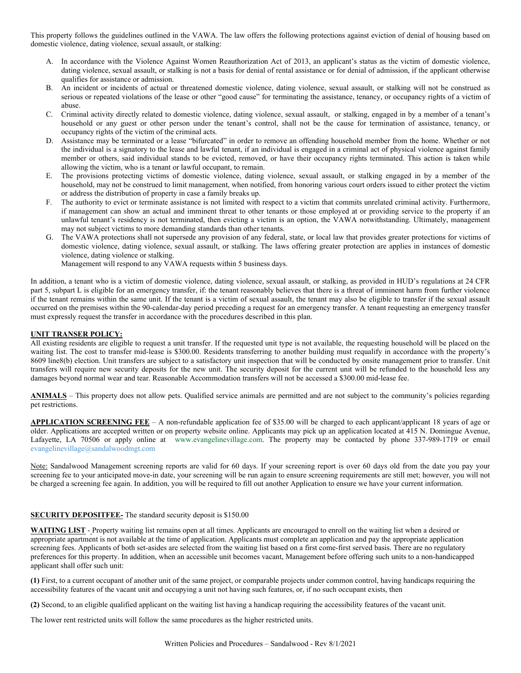This property follows the guidelines outlined in the VAWA. The law offers the following protections against eviction of denial of housing based on domestic violence, dating violence, sexual assault, or stalking:

- A. In accordance with the Violence Against Women Reauthorization Act of 2013, an applicant's status as the victim of domestic violence, dating violence, sexual assault, or stalking is not a basis for denial of rental assistance or for denial of admission, if the applicant otherwise qualifies for assistance or admission.
- B. An incident or incidents of actual or threatened domestic violence, dating violence, sexual assault, or stalking will not be construed as serious or repeated violations of the lease or other "good cause" for terminating the assistance, tenancy, or occupancy rights of a victim of abuse.
- C. Criminal activity directly related to domestic violence, dating violence, sexual assault, or stalking, engaged in by a member of a tenant's household or any guest or other person under the tenant's control, shall not be the cause for termination of assistance, tenancy, or occupancy rights of the victim of the criminal acts.
- D. Assistance may be terminated or a lease "bifurcated" in order to remove an offending household member from the home. Whether or not the individual is a signatory to the lease and lawful tenant, if an individual is engaged in a criminal act of physical violence against family member or others, said individual stands to be evicted, removed, or have their occupancy rights terminated. This action is taken while allowing the victim, who is a tenant or lawful occupant, to remain.
- E. The provisions protecting victims of domestic violence, dating violence, sexual assault, or stalking engaged in by a member of the household, may not be construed to limit management, when notified, from honoring various court orders issued to either protect the victim or address the distribution of property in case a family breaks up.
- F. The authority to evict or terminate assistance is not limited with respect to a victim that commits unrelated criminal activity. Furthermore, if management can show an actual and imminent threat to other tenants or those employed at or providing service to the property if an unlawful tenant's residency is not terminated, then evicting a victim is an option, the VAWA notwithstanding. Ultimately, management may not subject victims to more demanding standards than other tenants.
- G. The VAWA protections shall not supersede any provision of any federal, state, or local law that provides greater protections for victims of domestic violence, dating violence, sexual assault, or stalking. The laws offering greater protection are applies in instances of domestic violence, dating violence or stalking.

Management will respond to any VAWA requests within 5 business days.

In addition, a tenant who is a victim of domestic violence, dating violence, sexual assault, or stalking, as provided in HUD's regulations at 24 CFR part 5, subpart L is eligible for an emergency transfer, if: the tenant reasonably believes that there is a threat of imminent harm from further violence if the tenant remains within the same unit. If the tenant is a victim of sexual assault, the tenant may also be eligible to transfer if the sexual assault occurred on the premises within the 90-calendar-day period preceding a request for an emergency transfer. A tenant requesting an emergency transfer must expressly request the transfer in accordance with the procedures described in this plan.

## **UNIT TRANSER POLICY:**

All existing residents are eligible to request a unit transfer. If the requested unit type is not available, the requesting household will be placed on the waiting list. The cost to transfer mid-lease is \$300.00. Residents transferring to another building must requalify in accordance with the property's 8609 line8(b) election. Unit transfers are subject to a satisfactory unit inspection that will be conducted by onsite management prior to transfer. Unit transfers will require new security deposits for the new unit. The security deposit for the current unit will be refunded to the household less any damages beyond normal wear and tear. Reasonable Accommodation transfers will not be accessed a \$300.00 mid-lease fee.

**ANIMALS** – This property does not allow pets. Qualified service animals are permitted and are not subject to the community's policies regarding pet restrictions.

**APPLICATION SCREENING FEE** – A non-refundable application fee of \$35.00 will be charged to each applicant/applicant 18 years of age or older. Applications are accepted written or on property website online. Applicants may pick up an application located at 415 N. Domingue Avenue, Lafayette, LA 70506 or apply online at www.evangelinevillage.com. The property may be contacted by phone 337-989-1719 or email [evangelinevillage@sandalwoodmgt.com](mailto:evangelinevillage@sandalwoodmgt.com)

Note: Sandalwood Management screening reports are valid for 60 days. If your screening report is over 60 days old from the date you pay your screening fee to your anticipated move-in date, your screening will be run again to ensure screening requirements are still met; however, you will not be charged a screening fee again. In addition, you will be required to fill out another Application to ensure we have your current information.

## **SECURITY DEPOSITFEE-** The standard security deposit is \$150.00

**WAITING LIST** - Property waiting list remains open at all times. Applicants are encouraged to enroll on the waiting list when a desired or appropriate apartment is not available at the time of application. Applicants must complete an application and pay the appropriate application screening fees. Applicants of both set-asides are selected from the waiting list based on a first come-first served basis. There are no regulatory preferences for this property. In addition, when an [accessible](https://www.law.cornell.edu/definitions/index.php?width=840&height=800&iframe=true&def_id=1470abdf1851c0d1c2fee168d2c01223&term_occur=4&term_src=Title:24:Subtitle:A:Part:8:Subpart:C:8.27) unit becomes vacant, Management before offering such units to a non-handicapped applicant shall offer such unit:

**(1)** First, to a current occupant of another unit of the sam[e project,](https://www.law.cornell.edu/definitions/index.php?width=840&height=800&iframe=true&def_id=018a47cb2548caafb2ad50a623a91d4b&term_occur=1&term_src=Title:24:Subtitle:A:Part:8:Subpart:C:8.27) or comparable [projects](https://www.law.cornell.edu/definitions/index.php?width=840&height=800&iframe=true&def_id=018a47cb2548caafb2ad50a623a91d4b&term_occur=2&term_src=Title:24:Subtitle:A:Part:8:Subpart:C:8.27) under common control, having [handicaps](https://www.law.cornell.edu/definitions/index.php?width=840&height=800&iframe=true&def_id=be6f89caf9eccae3c0a95beac72d2190&term_occur=1&term_src=Title:24:Subtitle:A:Part:8:Subpart:C:8.27) requiring the accessibility features of the vacant unit and occupying a unit not having such features, or, if no such occupant exists, then

**(2)** Second, to an eligible qualified applicant on the waiting list having [a handicap](https://www.law.cornell.edu/definitions/index.php?width=840&height=800&iframe=true&def_id=be6f89caf9eccae3c0a95beac72d2190&term_occur=2&term_src=Title:24:Subtitle:A:Part:8:Subpart:C:8.27) requiring the accessibility features of the vacant unit.

The lower rent restricted units will follow the same procedures as the higher restricted units.